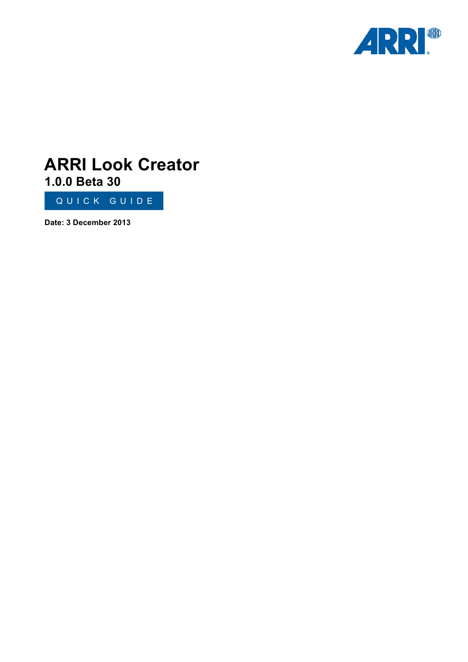

# **ARRI Look Creator 1.0.0 Beta 30**

QUICK GUIDE

**Date: 3 December 2013**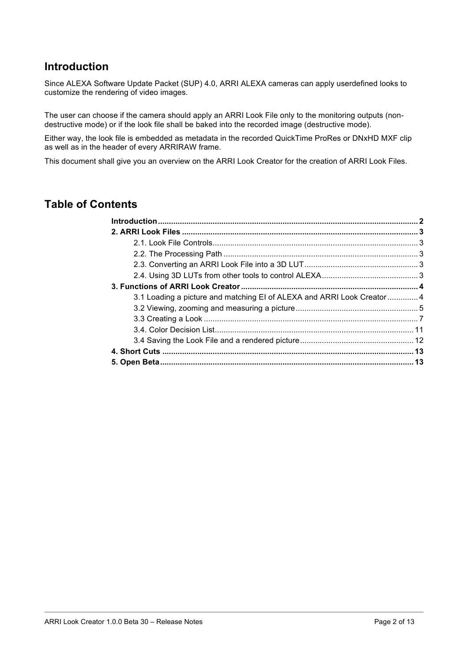## **Introduction**

Since ALEXA Software Update Packet (SUP) 4.0, ARRI ALEXA cameras can apply userdefined looks to customize the rendering of video images.

The user can choose if the camera should apply an ARRI Look File only to the monitoring outputs (nondestructive mode) or if the look file shall be baked into the recorded image (destructive mode).

Either way, the look file is embedded as metadata in the recorded QuickTime ProRes or DNxHD MXF clip as well as in the header of every ARRIRAW frame.

This document shall give you an overview on the ARRI Look Creator for the creation of ARRI Look Files.

## **Table of Contents**

| 3.1 Loading a picture and matching EI of ALEXA and ARRI Look Creator  4 |  |
|-------------------------------------------------------------------------|--|
|                                                                         |  |
|                                                                         |  |
|                                                                         |  |
|                                                                         |  |
|                                                                         |  |
|                                                                         |  |
|                                                                         |  |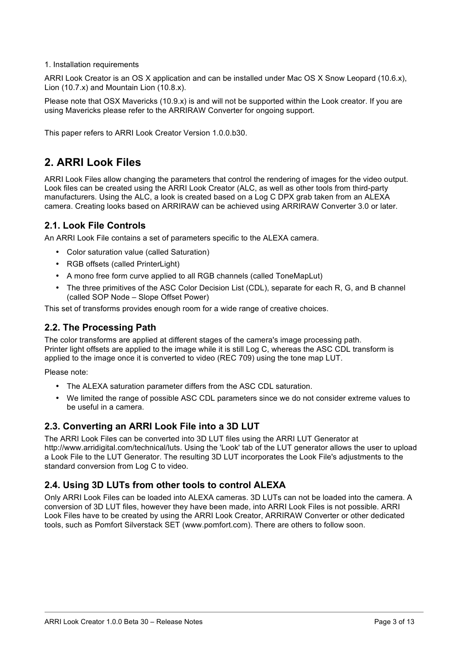#### 1. Installation requirements

ARRI Look Creator is an OS X application and can be installed under Mac OS X Snow Leopard (10.6.x), Lion (10.7.x) and Mountain Lion (10.8.x).

Please note that OSX Mavericks (10.9.x) is and will not be supported within the Look creator. If you are using Mavericks please refer to the ARRIRAW Converter for ongoing support.

This paper refers to ARRI Look Creator Version 1.0.0.b30.

## **2. ARRI Look Files**

ARRI Look Files allow changing the parameters that control the rendering of images for the video output. Look files can be created using the ARRI Look Creator (ALC, as well as other tools from third-party manufacturers. Using the ALC, a look is created based on a Log C DPX grab taken from an ALEXA camera. Creating looks based on ARRIRAW can be achieved using ARRIRAW Converter 3.0 or later.

### **2.1. Look File Controls**

An ARRI Look File contains a set of parameters specific to the ALEXA camera.

- Color saturation value (called Saturation)
- RGB offsets (called PrinterLight)
- A mono free form curve applied to all RGB channels (called ToneMapLut)
- The three primitives of the ASC Color Decision List (CDL), separate for each R, G, and B channel (called SOP Node – Slope Offset Power)

This set of transforms provides enough room for a wide range of creative choices.

### **2.2. The Processing Path**

The color transforms are applied at different stages of the camera's image processing path. Printer light offsets are applied to the image while it is still Log C, whereas the ASC CDL transform is applied to the image once it is converted to video (REC 709) using the tone map LUT.

Please note:

- The ALEXA saturation parameter differs from the ASC CDL saturation.
- We limited the range of possible ASC CDL parameters since we do not consider extreme values to be useful in a camera.

### **2.3. Converting an ARRI Look File into a 3D LUT**

The ARRI Look Files can be converted into 3D LUT files using the ARRI LUT Generator at http://www.arridigital.com/technical/luts. Using the 'Look' tab of the LUT generator allows the user to upload a Look File to the LUT Generator. The resulting 3D LUT incorporates the Look File's adjustments to the standard conversion from Log C to video.

### **2.4. Using 3D LUTs from other tools to control ALEXA**

Only ARRI Look Files can be loaded into ALEXA cameras. 3D LUTs can not be loaded into the camera. A conversion of 3D LUT files, however they have been made, into ARRI Look Files is not possible. ARRI Look Files have to be created by using the ARRI Look Creator, ARRIRAW Converter or other dedicated tools, such as Pomfort Silverstack SET (www.pomfort.com). There are others to follow soon.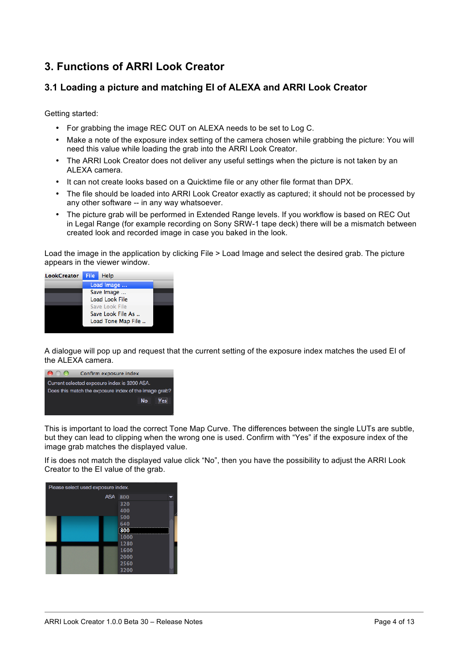## **3. Functions of ARRI Look Creator**

### **3.1 Loading a picture and matching EI of ALEXA and ARRI Look Creator**

Getting started:

- For grabbing the image REC OUT on ALEXA needs to be set to Log C.
- Make a note of the exposure index setting of the camera chosen while grabbing the picture: You will need this value while loading the grab into the ARRI Look Creator.
- The ARRI Look Creator does not deliver any useful settings when the picture is not taken by an ALEXA camera.
- It can not create looks based on a Quicktime file or any other file format than DPX.
- The file should be loaded into ARRI Look Creator exactly as captured; it should not be processed by any other software -- in any way whatsoever.
- The picture grab will be performed in Extended Range levels. If you workflow is based on REC Out in Legal Range (for example recording on Sony SRW-1 tape deck) there will be a mismatch between created look and recorded image in case you baked in the look.

Load the image in the application by clicking File > Load Image and select the desired grab. The picture appears in the viewer window.



A dialogue will pop up and request that the current setting of the exposure index matches the used EI of the ALEXA camera.



This is important to load the correct Tone Map Curve. The differences between the single LUTs are subtle, but they can lead to clipping when the wrong one is used. Confirm with "Yes" if the exposure index of the image grab matches the displayed value.

If is does not match the displayed value click "No", then you have the possibility to adjust the ARRI Look Creator to the EI value of the grab.

| Please select used exposure index. |      |  |  |  |  |
|------------------------------------|------|--|--|--|--|
| <b>ASA</b>                         | 800  |  |  |  |  |
|                                    | 320  |  |  |  |  |
|                                    | 400  |  |  |  |  |
|                                    | 500  |  |  |  |  |
|                                    | 640  |  |  |  |  |
|                                    | 800  |  |  |  |  |
|                                    | 1000 |  |  |  |  |
|                                    | 1280 |  |  |  |  |
|                                    | 1600 |  |  |  |  |
|                                    | 2000 |  |  |  |  |
|                                    | 2560 |  |  |  |  |
|                                    | 3200 |  |  |  |  |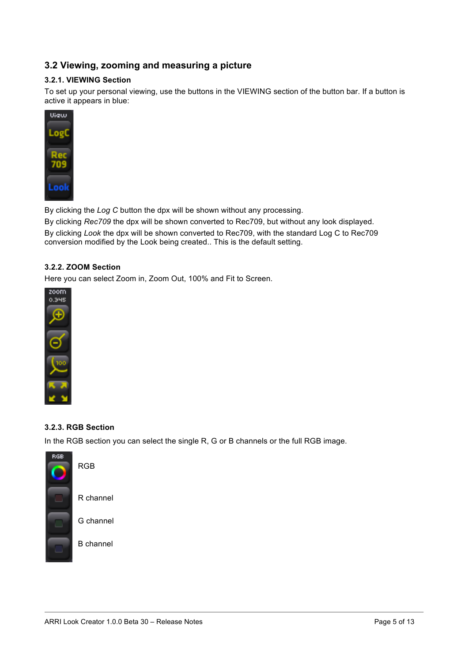### **3.2 Viewing, zooming and measuring a picture**

#### **3.2.1. VIEWING Section**

To set up your personal viewing, use the buttons in the VIEWING section of the button bar. If a button is active it appears in blue:



By clicking the *Log C* button the dpx will be shown without any processing.

By clicking *Rec709* the dpx will be shown converted to Rec709, but without any look displayed.

By clicking *Look* the dpx will be shown converted to Rec709, with the standard Log C to Rec709 conversion modified by the Look being created.. This is the default setting.

### **3.2.2. ZOOM Section**

Here you can select Zoom in, Zoom Out, 100% and Fit to Screen.



### **3.2.3. RGB Section**

RGB

R channel

G channel

B channel

In the RGB section you can select the single R, G or B channels or the full RGB image.

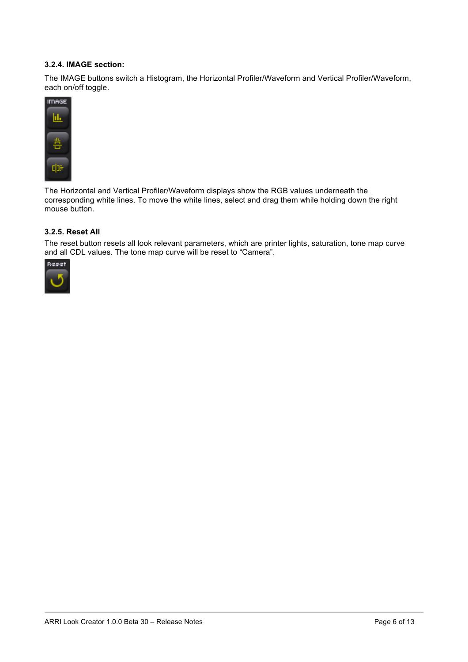#### **3.2.4. IMAGE section:**

The IMAGE buttons switch a Histogram, the Horizontal Profiler/Waveform and Vertical Profiler/Waveform, each on/off toggle.



The Horizontal and Vertical Profiler/Waveform displays show the RGB values underneath the corresponding white lines. To move the white lines, select and drag them while holding down the right mouse button.

#### **3.2.5. Reset All**

The reset button resets all look relevant parameters, which are printer lights, saturation, tone map curve and all CDL values. The tone map curve will be reset to "Camera".

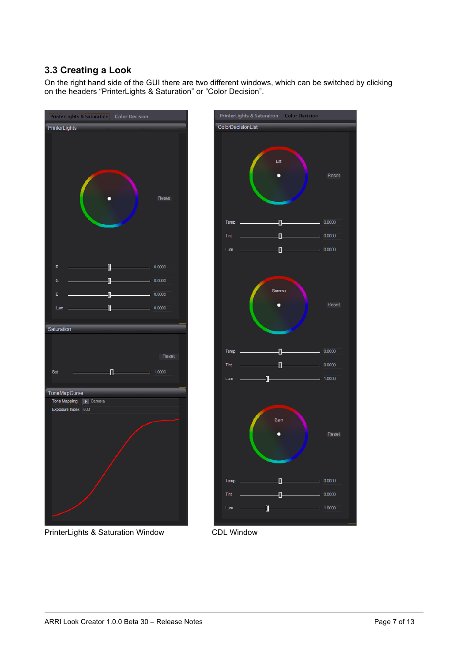### **3.3 Creating a Look**

On the right hand side of the GUI there are two different windows, which can be switched by clicking on the headers "PrinterLights & Saturation" or "Color Decision".



PrinterLights & Saturation Window CDL Window

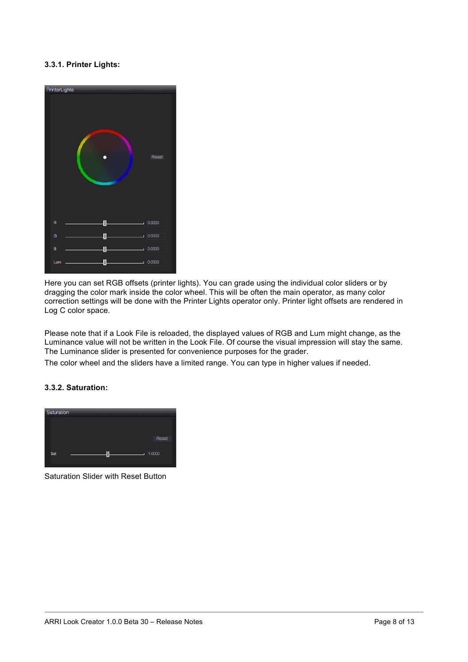### **3.3.1. Printer Lights:**



Here you can set RGB offsets (printer lights). You can grade using the individual color sliders or by dragging the color mark inside the color wheel. This will be often the main operator, as many color correction settings will be done with the Printer Lights operator only. Printer light offsets are rendered in Log C color space.

Please note that if a Look File is reloaded, the displayed values of RGB and Lum might change, as the Luminance value will not be written in the Look File. Of course the visual impression will stay the same. The Luminance slider is presented for convenience purposes for the grader.

The color wheel and the sliders have a limited range. You can type in higher values if needed.

#### **3.3.2. Saturation:**



Saturation Slider with Reset Button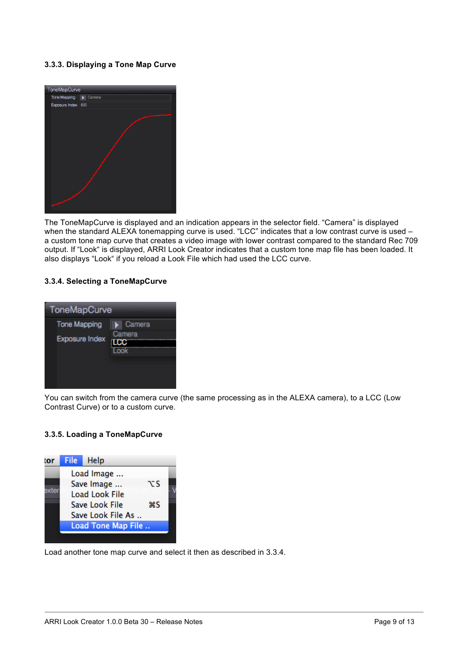### **3.3.3. Displaying a Tone Map Curve**



The ToneMapCurve is displayed and an indication appears in the selector field. "Camera" is displayed when the standard ALEXA tonemapping curve is used. "LCC" indicates that a low contrast curve is used – a custom tone map curve that creates a video image with lower contrast compared to the standard Rec 709 output. If "Look" is displayed, ARRI Look Creator indicates that a custom tone map file has been loaded. It also displays "Look" if you reload a Look File which had used the LCC curve.

#### **3.3.4. Selecting a ToneMapCurve**



You can switch from the camera curve (the same processing as in the ALEXA camera), to a LCC (Low Contrast Curve) or to a custom curve.

#### **3.3.5. Loading a ToneMapCurve**



Load another tone map curve and select it then as described in 3.3.4.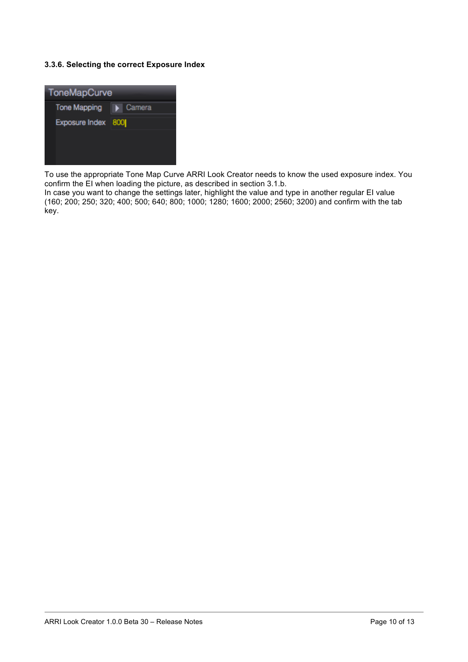### **3.3.6. Selecting the correct Exposure Index**



To use the appropriate Tone Map Curve ARRI Look Creator needs to know the used exposure index. You confirm the EI when loading the picture, as described in section 3.1.b.

In case you want to change the settings later, highlight the value and type in another regular EI value (160; 200; 250; 320; 400; 500; 640; 800; 1000; 1280; 1600; 2000; 2560; 3200) and confirm with the tab key.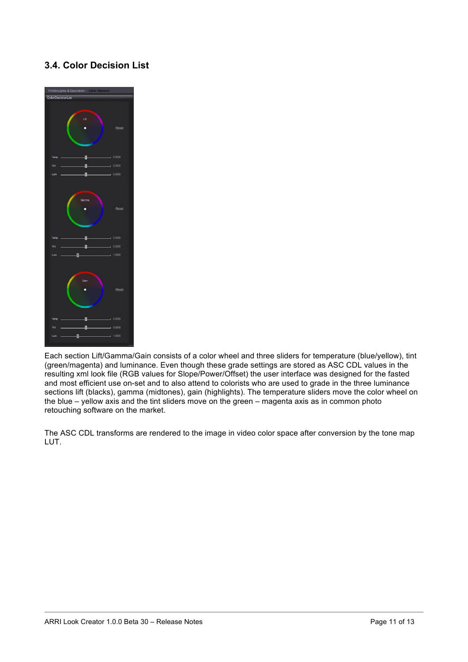### **3.4. Color Decision List**



Each section Lift/Gamma/Gain consists of a color wheel and three sliders for temperature (blue/yellow), tint (green/magenta) and luminance. Even though these grade settings are stored as ASC CDL values in the resulting xml look file (RGB values for Slope/Power/Offset) the user interface was designed for the fasted and most efficient use on-set and to also attend to colorists who are used to grade in the three luminance sections lift (blacks), gamma (midtones), gain (highlights). The temperature sliders move the color wheel on the blue – yellow axis and the tint sliders move on the green – magenta axis as in common photo retouching software on the market.

The ASC CDL transforms are rendered to the image in video color space after conversion by the tone map LUT.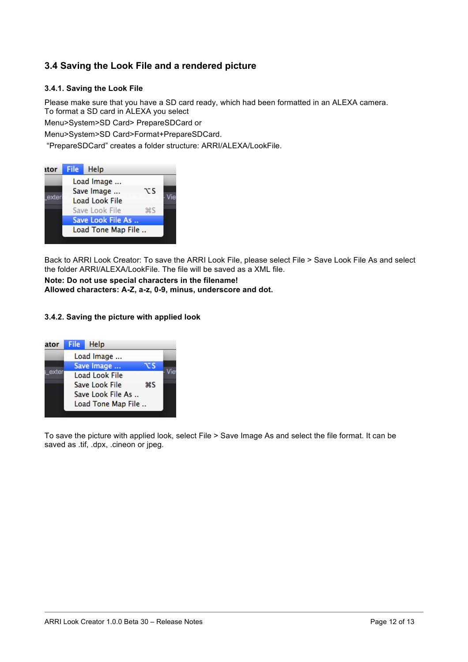### **3.4 Saving the Look File and a rendered picture**

### **3.4.1. Saving the Look File**

Please make sure that you have a SD card ready, which had been formatted in an ALEXA camera. To format a SD card in ALEXA you select Menu>System>SD Card> PrepareSDCard or

Menu>System>SD Card>Format+PrepareSDCard.

"PrepareSDCard" creates a folder structure: ARRI/ALEXA/LookFile.

| ıtor  | <b>File</b> | Help                  |                |  |
|-------|-------------|-----------------------|----------------|--|
|       |             | Load Image            |                |  |
|       |             | Save Image            | τs             |  |
| exter |             | <b>Load Look File</b> |                |  |
|       |             | Save Look File        | $\frac{1}{25}$ |  |
|       |             | Save Look File As     |                |  |
|       |             | Load Tone Map File    |                |  |
|       |             |                       |                |  |

Back to ARRI Look Creator: To save the ARRI Look File, please select File > Save Look File As and select the folder ARRI/ALEXA/LookFile. The file will be saved as a XML file.

### **Note: Do not use special characters in the filename! Allowed characters: A-Z, a-z, 0-9, minus, underscore and dot.**

#### **3.4.2. Saving the picture with applied look**

| ator | File       | Help                  |    |  |
|------|------------|-----------------------|----|--|
|      | Load Image |                       |    |  |
|      |            | Save Image            | ∵s |  |
|      |            | <b>Load Look File</b> |    |  |
|      |            | Save Look File        | жS |  |
|      |            | Save Look File As     |    |  |
|      |            | Load Tone Map File    |    |  |

To save the picture with applied look, select File > Save Image As and select the file format. It can be saved as .tif, .dpx, .cineon or jpeg.